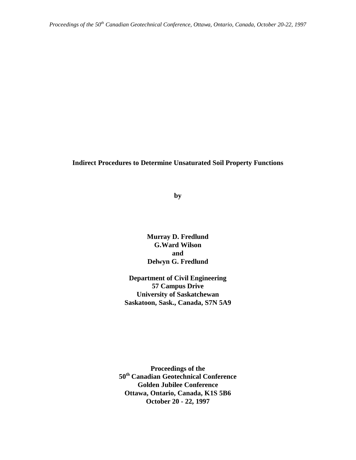### **Indirect Procedures to Determine Unsaturated Soil Property Functions**

**by**

**Murray D. Fredlund G.Ward Wilson and Delwyn G. Fredlund**

**Department of Civil Engineering 57 Campus Drive University of Saskatchewan Saskatoon, Sask., Canada, S7N 5A9**

**Proceedings of the 50th Canadian Geotechnical Conference Golden Jubilee Conference Ottawa, Ontario, Canada, K1S 5B6 October 20 - 22, 1997**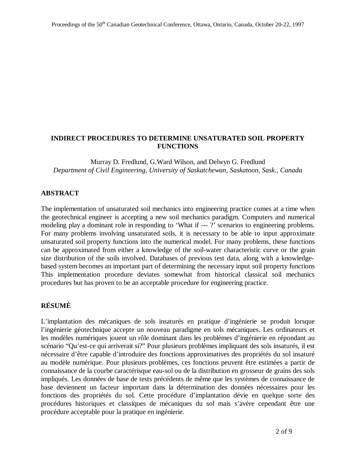## **INDIRECT PROCEDURES TO DETERMINE UNSATURATED SOIL PROPERTY FUNCTIONS**

Murray D. Fredlund, G.Ward Wilson, and Delwyn G. Fredlund *Department of Civil Engineering, University of Saskatchewan, Saskatoon, Sask., Canada*

## **ABSTRACT**

The implementation of unsaturated soil mechanics into engineering practice comes at a time when the geotechnical engineer is accepting a new soil mechanics paradigm. Computers and numerical modeling play a dominant role in responding to 'What if --- ?' scenarios to engineering problems. For many problems involving unsaturated soils, it is necessary to be able to input approximate unsaturated soil property functions into the numerical model. For many problems, these functions can be approximated from either a knowledge of the soil-water characteristic curve or the grain size distribution of the soils involved. Databases of previous test data, along with a knowledgebased system becomes an important part of determining the necessary input soil property functions This implementation procedure deviates somewhat from historical classical soil mechanics procedures but has proven to be an acceptable procedure for engineering practice.

# **RÉSUMÉ**

L'implantation des mécaniques de sols insaturés en pratique d'ingénierie se produit lorsque l'ingénierie géotechnique accepte un nouveau paradigme en sols mécaniques. Les ordinateurs et les modèles numériques jouent un rôle dominant dans les problèmes d'ingénierie en répondant au scénario "Qu'est-ce qui arriverait si?" Pour plusieurs problèmes impliquant des sols insaturés, il est nécessaire d'être capable d'introduire des fonctions approximatives des propriétés du sol insaturé au modèle numérique. Pour plusieurs problèmes, ces fonctions peuvent être estimées a partir de connaissance de la courbe caractérisque eau-sol ou de la distribution en grosseur de grains des sols impliqués. Les données de base de tests précédents de même que les systèmes de connaissance de base deviennent un facteur important dans la détermination des données nécessaires pour les fonctions des propriétés du sol. Cette procédure d'implantation dévie en quelque sorte des procédures historiques et classiques de mécaniques du sol mais s'avère cependant être une procédure acceptable pour la pratique en ingénierie.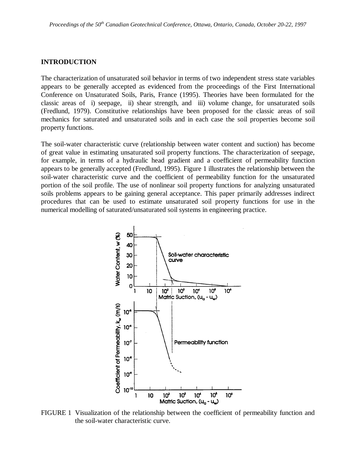#### **INTRODUCTION**

The characterization of unsaturated soil behavior in terms of two independent stress state variables appears to be generally accepted as evidenced from the proceedings of the First International Conference on Unsaturated Soils, Paris, France (1995). Theories have been formulated for the classic areas of i) seepage, ii) shear strength, and iii) volume change, for unsaturated soils (Fredlund, 1979). Constitutive relationships have been proposed for the classic areas of soil mechanics for saturated and unsaturated soils and in each case the soil properties become soil property functions.

The soil-water characteristic curve (relationship between water content and suction) has become of great value in estimating unsaturated soil property functions. The characterization of seepage, for example, in terms of a hydraulic head gradient and a coefficient of permeability function appears to be generally accepted (Fredlund, 1995). Figure 1 illustrates the relationship between the soil-water characteristic curve and the coefficient of permeability function for the unsaturated portion of the soil profile. The use of nonlinear soil property functions for analyzing unsaturated soils problems appears to be gaining general acceptance. This paper primarily addresses indirect procedures that can be used to estimate unsaturated soil property functions for use in the numerical modelling of saturated/unsaturated soil systems in engineering practice.



FIGURE 1 Visualization of the relationship between the coefficient of permeability function and the soil-water characteristic curve.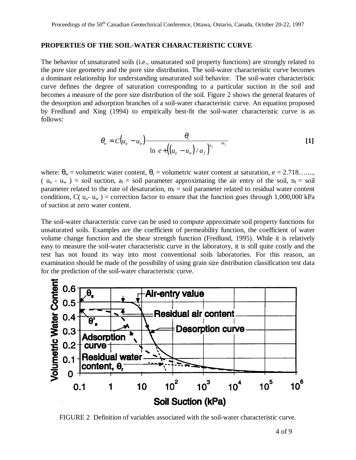#### **PROPERTIES OF THE SOIL-WATER CHARACTERISTIC CURVE**

The behavior of unsaturated soils (i.e., unsaturated soil property functions) are strongly related to the pore size geometry and the pore size distribution. The soil-water characteristic curve becomes a dominant relationship for understanding unsaturated soil behavior. The soil-water characteristic curve defines the degree of saturation corresponding to a particular suction in the soil and becomes a measure of the pore size distribution of the soil. Figure 2 shows the general features of the desorption and adsorption branches of a soil-water characteristic curve. An equation proposed by Fredlund and Xing (1994) to empirically best-fit the soil-water characteristic curve is as follows:

$$
\theta_{w} = C(u_{a} - u_{w}) \frac{\theta_{s}}{\left\{\ln\left[e + \left(\left(u_{a} - u_{w}\right)/a_{f}\right)^{n_{f}}\right]\right\}^{m_{f}}}
$$
 [1]

where:  $\theta_w$  = volumetric water content,  $\theta_s$  = volumetric water content at saturation, e = 2.718....... (  $u_a - u_w$  ) = soil suction,  $a_f$  = soil parameter approximating the air entry of the soil,  $n_f$  = soil parameter related to the rate of desaturation,  $m_f$  = soil parameter related to residual water content conditions,  $C(u_{a}-u_{w})$  = correction factor to ensure that the function goes through 1,000,000 kPa of suction at zero water content.

The soil-water characteristic curve can be used to compute approximate soil property functions for unsaturated soils. Examples are the coefficient of permeability function, the coefficient of water volume change function and the shear strength function (Fredlund, 1995). While it is relatively easy to measure the soil-water characteristic curve in the laboratory, it is still quite costly and the test has not found its way into most conventional soils laboratories. For this reason, an examination should be made of the possibility of using grain size distribution classification test data for the prediction of the soil-water characteristic curve.



FIGURE 2 Definition of variables associated with the soil-water characteristic curve.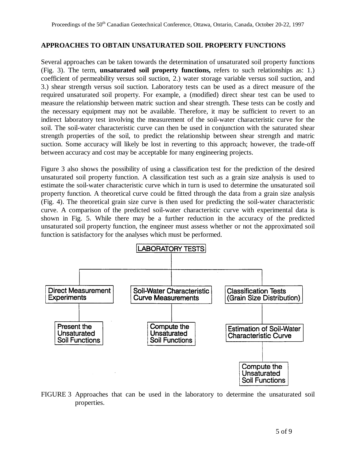### **APPROACHES TO OBTAIN UNSATURATED SOIL PROPERTY FUNCTIONS**

Several approaches can be taken towards the determination of unsaturated soil property functions (Fig. 3). The term, **unsaturated soil property functions,** refers to such relationships as: 1.) coefficient of permeability versus soil suction, 2.) water storage variable versus soil suction, and 3.) shear strength versus soil suction. Laboratory tests can be used as a direct measure of the required unsaturated soil property. For example, a (modified) direct shear test can be used to measure the relationship between matric suction and shear strength. These tests can be costly and the necessary equipment may not be available. Therefore, it may be sufficient to revert to an indirect laboratory test involving the measurement of the soil-water characteristic curve for the soil. The soil-water characteristic curve can then be used in conjunction with the saturated shear strength properties of the soil, to predict the relationship between shear strength and matric suction. Some accuracy will likely be lost in reverting to this approach; however, the trade-off between accuracy and cost may be acceptable for many engineering projects.

Figure 3 also shows the possibility of using a classification test for the prediction of the desired unsaturated soil property function. A classification test such as a grain size analysis is used to estimate the soil-water characteristic curve which in turn is used to determine the unsaturated soil property function. A theoretical curve could be fitted through the data from a grain size analysis (Fig. 4). The theoretical grain size curve is then used for predicting the soil-water characteristic curve. A comparison of the predicted soil-water characteristic curve with experimental data is shown in Fig. 5. While there may be a further reduction in the accuracy of the predicted unsaturated soil property function, the engineer must assess whether or not the approximated soil function is satisfactory for the analyses which must be performed.



FIGURE 3 Approaches that can be used in the laboratory to determine the unsaturated soil properties.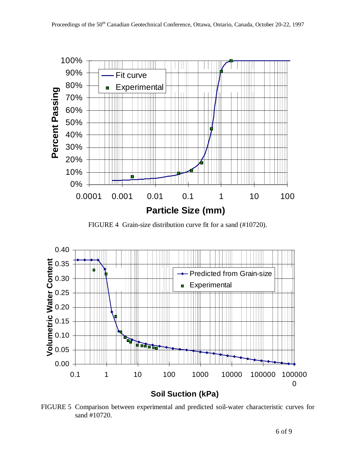

FIGURE 4 Grain-size distribution curve fit for a sand (#10720).



FIGURE 5 Comparison between experimental and predicted soil-water characteristic curves for sand #10720.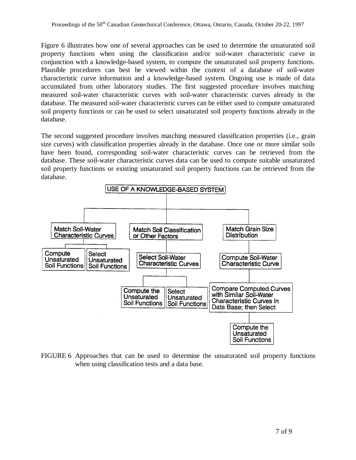Figure 6 illustrates how one of several approaches can be used to determine the unsaturated soil property functions when using the classification and/or soil-water characteristic curve in conjunction with a knowledge-based system, to compute the unsaturated soil property functions. Plausible procedures can best be viewed within the context of a database of soil-water characteristic curve information and a knowledge-based system. Ongoing use is made of data accumulated from other laboratory studies. The first suggested procedure involves matching measured soil-water characteristic curves with soil-water characteristic curves already in the database. The measured soil-water characteristic curves can be either used to compute unsaturated soil property functions or can be used to select unsaturated soil property functions already in the database.

The second suggested procedure involves matching measured classification properties (i.e., grain size curves) with classification properties already in the database. Once one or more similar soils have been found, corresponding soil-water characteristic curves can be retrieved from the database. These soil-water characteristic curves data can be used to compute suitable unsaturated soil property functions or existing unsaturated soil property functions can be retrieved from the database.



FIGURE 6 Approaches that can be used to determine the unsaturated soil property functions when using classification tests and a data base.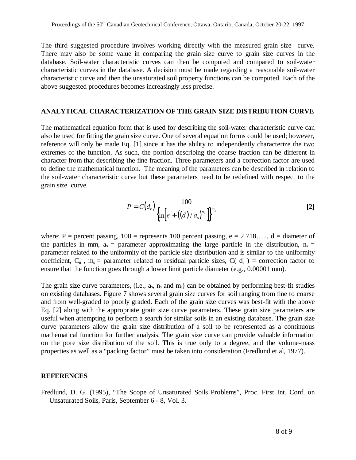The third suggested procedure involves working directly with the measured grain size curve. There may also be some value in comparing the grain size curve to grain size curves in the database. Soil-water characteristic curves can then be computed and compared to soil-water characteristic curves in the database. A decision must be made regarding a reasonable soil-water characteristic curve and then the unsaturated soil property functions can be computed. Each of the above suggested procedures becomes increasingly less precise.

#### **ANALYTICAL CHARACTERIZATION OF THE GRAIN SIZE DISTRIBUTION CURVE**

The mathematical equation form that is used for describing the soil-water characteristic curve can also be used for fitting the grain size curve. One of several equation forms could be used; however, reference will only be made Eq. [1] since it has the ability to independently characterize the two extremes of the function. As such, the portion describing the coarse fraction can be different in character from that describing the fine fraction. Three parameters and a correction factor are used to define the mathematical function. The meaning of the parameters can be described in relation to the soil-water characteristic curve but these parameters need to be redefined with respect to the grain size curve.

$$
P = C(d_r) \frac{100}{\left\{\ln \left[e + ((d)/a_s)^{n_s}\right]\right\}^{m_s}}
$$
 [2]

where: P = percent passing,  $100$  = represents 100 percent passing, e = 2.718...., d = diameter of the particles in mm,  $a_s$  = parameter approximating the large particle in the distribution,  $n_s$  = parameter related to the uniformity of the particle size distribution and is similar to the uniformity coefficient,  $C_u$ ,  $m_s$  = parameter related to residual particle sizes,  $C(d_r)$  = correction factor to ensure that the function goes through a lower limit particle diameter (e.g., 0.00001 mm).

The grain size curve parameters, (i.e.,  $a_s$ ,  $n_s$  and  $m_s$ ) can be obtained by performing best-fit studies on existing databases. Figure 7 shows several grain size curves for soil ranging from fine to coarse and from well-graded to poorly graded. Each of the grain size curves was best-fit with the above Eq. [2] along with the appropriate grain size curve parameters. These grain size parameters are useful when attempting to perform a search for similar soils in an existing database. The grain size curve parameters allow the grain size distribution of a soil to be represented as a continuous mathematical function for further analysis. The grain size curve can provide valuable information on the pore size distribution of the soil. This is true only to a degree, and the volume-mass properties as well as a "packing factor" must be taken into consideration (Fredlund et al, 1977).

#### **REFERENCES**

Fredlund, D. G. (1995), "The Scope of Unsaturated Soils Problems", Proc. First Int. Conf. on Unsaturated Soils, Paris, September 6 - 8, Vol. 3.